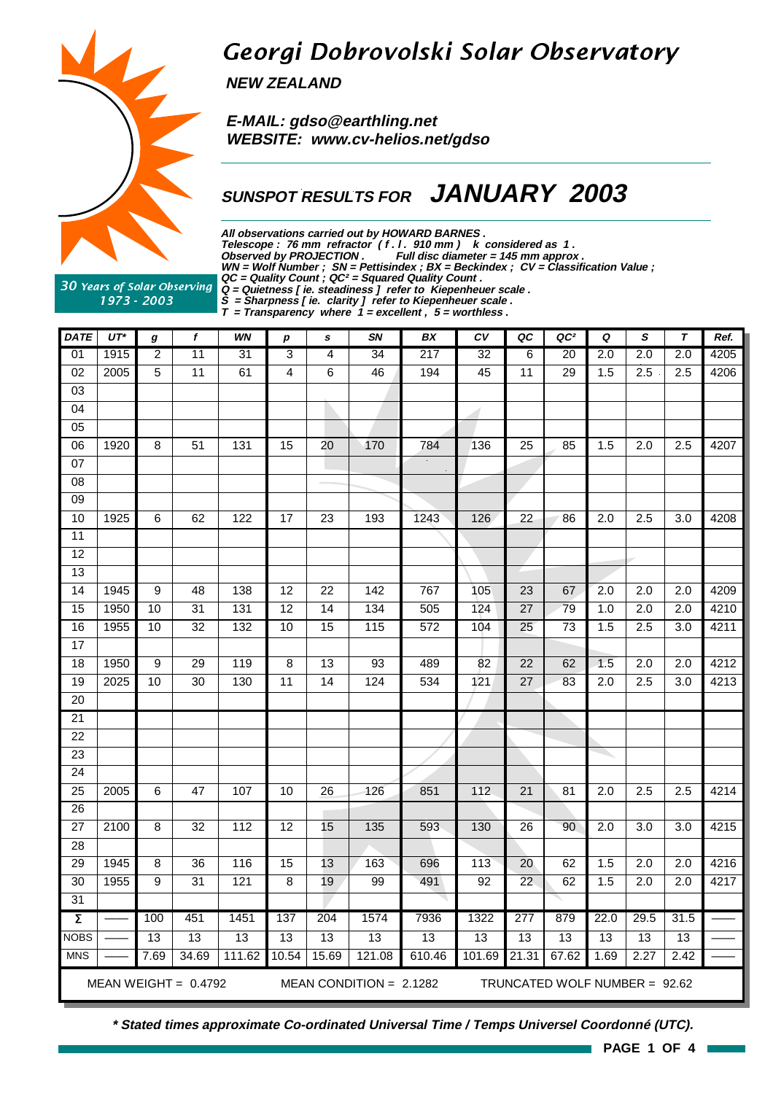

## Georgi Dobrovolski Solar Observatory

**NEW ZEALAND**

 **E-MAIL: gdso@earthling.net WEBSITE: www.cv-helios.net/gdso**

### **SUNSPOT RESULTS FOR JANUARY 2003**

**All observations carried out by HOWARD BARNES . Telescope : 76 mm refractor ( f . l . 910 mm ) k considered as 1 . Observed by PROJECTION . Full disc diameter = 145 mm approx . WN = Wolf Number ; SN = Pettisindex ; BX = Beckindex ; CV = Classification Value ; QC = Quality Count ; QC² = Squared Quality Count .**

30 Years of Solar Observing 1973 - 2003

**Q = Quietness [ ie. steadiness ] refer to Kiepenheuer scale . S = Sharpness [ ie. clarity ] refer to Kiepenheuer scale .**

**T = Transparency where 1 = excellent , 5 = worthless .**

| <b>DATE</b>         | $UT^*$ | g                | f                      | WN     | p               | s               | SN                        | BX     | c v            | QC              | QC <sup>2</sup>               | Q                | S                | $\tau$           | Ref. |
|---------------------|--------|------------------|------------------------|--------|-----------------|-----------------|---------------------------|--------|----------------|-----------------|-------------------------------|------------------|------------------|------------------|------|
| 01                  | 1915   | $\overline{2}$   | 11                     | 31     | 3               | 4               | 34                        | 217    | 32             | $\overline{6}$  | 20                            | 2.0              | $\overline{2.0}$ | 2.0              | 4205 |
| $\overline{02}$     | 2005   | $\overline{5}$   | 11                     | 61     | 4               | 6               | 46                        | 194    | 45             | 11              | 29                            | 1.5              | 2.5              | 2.5              | 4206 |
| $\overline{03}$     |        |                  |                        |        |                 |                 |                           |        |                |                 |                               |                  |                  |                  |      |
| 04                  |        |                  |                        |        |                 |                 |                           |        | -1             |                 |                               |                  |                  |                  |      |
| $\overline{05}$     |        |                  |                        |        |                 |                 |                           |        |                |                 |                               |                  |                  |                  |      |
| 06                  | 1920   | 8                | 51                     | 131    | 15              | 20              | 170                       | 784    | 136            | 25              | 85                            | 1.5              | $\overline{2.0}$ | 2.5              | 4207 |
| $\overline{07}$     |        |                  |                        |        |                 |                 |                           |        |                |                 |                               |                  |                  |                  |      |
| $\overline{08}$     |        |                  |                        |        |                 |                 |                           |        |                |                 |                               |                  |                  |                  |      |
| $\overline{09}$     |        |                  |                        |        |                 |                 |                           |        |                |                 |                               |                  |                  |                  |      |
| 10                  | 1925   | 6                | 62                     | 122    | 17              | 23              | 193                       | 1243   | 126            | 22              | 86                            | 2.0              | 2.5              | 3.0              | 4208 |
| 11                  |        |                  |                        |        |                 |                 |                           |        |                |                 |                               |                  |                  |                  |      |
| $\overline{12}$     |        |                  |                        |        |                 |                 |                           |        |                |                 |                               |                  |                  |                  |      |
| $\overline{13}$     |        |                  |                        |        |                 |                 |                           |        |                |                 |                               |                  |                  |                  |      |
| $\overline{14}$     | 1945   | 9                | 48                     | 138    | $\overline{12}$ | $\overline{22}$ | 142                       | 767    | 105            | $\overline{23}$ | 67                            | $\overline{2.0}$ | $\overline{2.0}$ | 2.0              | 4209 |
| 15                  | 1950   | 10               | 31                     | 131    | $\overline{12}$ | 14              | 134                       | 505    | 124            | $\overline{27}$ | 79                            | 1.0              | $\overline{2.0}$ | 2.0              | 4210 |
| 16                  | 1955   | 10               | 32                     | 132    | 10              | $\overline{15}$ | 115                       | 572    | 104            | 25              | $\overline{73}$               | 1.5              | 2.5              | 3.0              | 4211 |
| $\overline{17}$     |        |                  |                        |        |                 |                 |                           |        |                |                 |                               |                  |                  |                  |      |
| 18                  | 1950   | $\boldsymbol{9}$ | 29                     | 119    | 8               | 13              | 93                        | 489    | 82             | 22              | 62                            | 1.5              | 2.0              | 2.0              | 4212 |
| 19                  | 2025   | $\overline{10}$  | $\overline{30}$        | 130    | 11              | 14              | 124                       | 534    | 121            | 27              | 83                            | 2.0              | 2.5              | $\overline{3.0}$ | 4213 |
| 20                  |        |                  |                        |        |                 |                 |                           |        |                |                 |                               |                  |                  |                  |      |
| $\overline{21}$     |        |                  |                        |        |                 |                 |                           |        |                |                 |                               |                  |                  |                  |      |
| $\overline{22}$     |        |                  |                        |        |                 |                 |                           |        |                |                 |                               |                  |                  |                  |      |
| $\overline{23}$     |        |                  |                        |        |                 |                 |                           |        |                |                 |                               |                  |                  |                  |      |
| $\overline{24}$     |        |                  |                        |        |                 |                 |                           |        |                |                 |                               |                  |                  |                  |      |
| $\overline{25}$     | 2005   | 6                | 47                     | 107    | 10              | $\overline{26}$ | 126                       | 851    | $\frac{11}{2}$ | 21              | 81                            | 2.0              | 2.5              | 2.5              | 4214 |
| 26                  |        |                  |                        |        |                 |                 |                           |        |                |                 |                               |                  |                  |                  |      |
| $\overline{27}$     | 2100   | 8                | $\overline{32}$        | 112    | $\overline{12}$ | 15              | 135                       | 593    | 130            | $\overline{26}$ | 90                            | $\overline{2.0}$ | $\overline{3.0}$ | $\overline{3.0}$ | 4215 |
| $\overline{28}$     |        |                  |                        |        |                 |                 |                           |        |                |                 |                               |                  |                  |                  |      |
| 29                  | 1945   | 8                | 36                     | 116    | $\overline{15}$ | 13              | 163                       | 696    | 113            | 20              | 62                            | 1.5              | 2.0              | 2.0              | 4216 |
| $\overline{30}$     | 1955   | 9                | $\overline{31}$        | 121    | $\overline{8}$  | 19              | 99                        | 491    | 92             | $\overline{22}$ | 62                            | 1.5              | $\overline{2.0}$ | $\overline{2.0}$ | 4217 |
| 31                  |        |                  |                        |        |                 |                 |                           |        |                |                 |                               |                  |                  |                  |      |
| $\overline{\Sigma}$ |        | 100              | 451                    | 1451   | 137             | 204             | 1574                      | 7936   | 1322           | 277             | 879                           | 22.0             | 29.5             | 31.5             |      |
| <b>NOBS</b>         |        | 13               | 13                     | 13     | 13              | 13              | 13                        | 13     | 13             | 13              | 13                            | 13               | 13               | $\overline{13}$  |      |
| <b>MNS</b>          |        | 7.69             | 34.69                  | 111.62 | 10.54           | 15.69           | 121.08                    | 610.46 | 101.69         | 21.31           | 67.62                         | 1.69             | 2.27             | 2.42             |      |
|                     |        |                  | MEAN WEIGHT = $0.4792$ |        |                 |                 | MEAN CONDITION = $2.1282$ |        |                |                 | TRUNCATED WOLF NUMBER = 92.62 |                  |                  |                  |      |

**\* Stated times approximate Co-ordinated Universal Time / Temps Universel Coordonné (UTC).**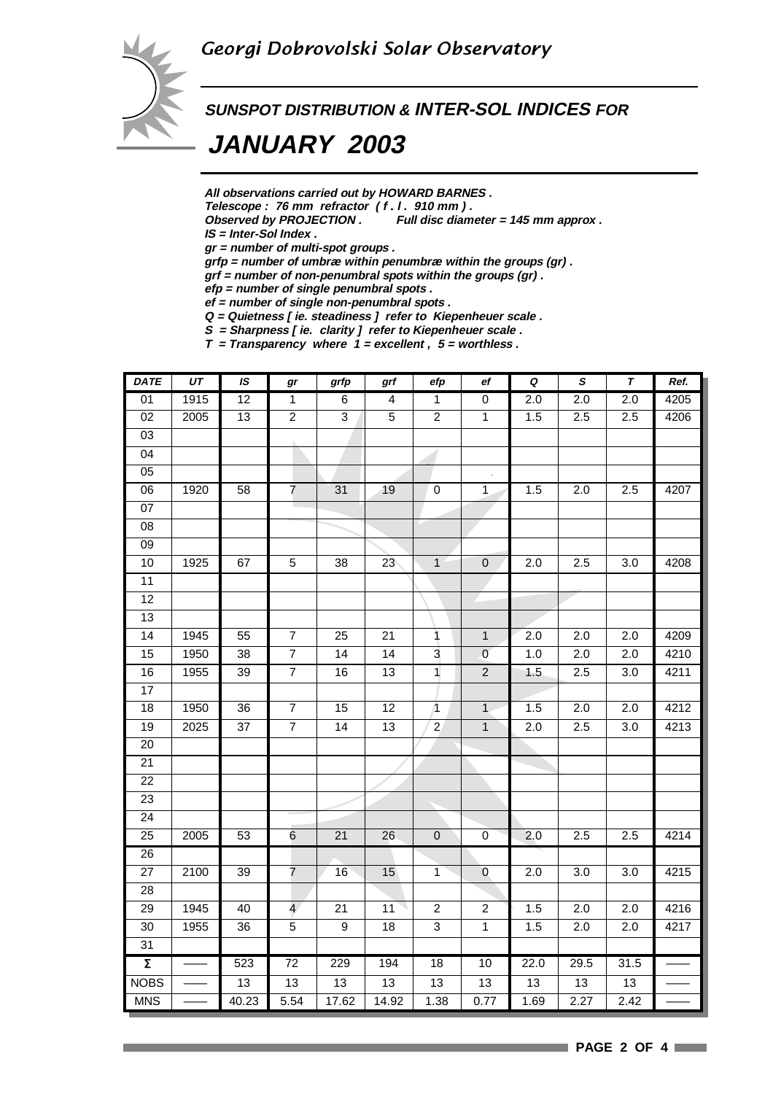

# **SUNSPOT DISTRIBUTION & INTER-SOL INDICES FOR**

 **JANUARY 2003**

**All observations carried out by HOWARD BARNES .**

Telescope : 76 mm refractor (f. l. 910 mm).<br>Observed by PROJECTION . Full disc diam

Full disc diameter = 145 mm approx .

**IS = Inter-Sol Index .**

**gr = number of multi-spot groups .**

**grfp = number of umbræ within penumbræ within the groups (gr) .**

**grf = number of non-penumbral spots within the groups (gr) .**

**efp = number of single penumbral spots .**

**ef = number of single non-penumbral spots . Q = Quietness [ ie. steadiness ] refer to Kiepenheuer scale .**

**S = Sharpness [ ie. clarity ] refer to Kiepenheuer scale .**

**T = Transparency where 1 = excellent , 5 = worthless .**

| <b>DATE</b>         | UT   | IS              | gr              | grfp            | grf             | efp             | ef             | Q                | $\pmb{s}$        | $\tau$           | Ref. |
|---------------------|------|-----------------|-----------------|-----------------|-----------------|-----------------|----------------|------------------|------------------|------------------|------|
| 01                  | 1915 | 12              | $\overline{1}$  | 6               | 4               | $\overline{1}$  | $\pmb{0}$      | 2.0              | 2.0              | 2.0              | 4205 |
| 02                  | 2005 | 13              | $\overline{2}$  | $\overline{3}$  | $\sqrt{5}$      | $\overline{2}$  | $\mathbf{1}$   | 1.5              | 2.5              | 2.5              | 4206 |
| 03                  |      |                 |                 |                 |                 |                 |                |                  |                  |                  |      |
| $\overline{04}$     |      |                 |                 |                 |                 |                 |                |                  |                  |                  |      |
| $\overline{05}$     |      |                 |                 |                 |                 |                 |                |                  |                  |                  |      |
| 06                  | 1920 | 58              | $\overline{7}$  | 31              | 19              | $\overline{0}$  | $\mathbf{1}$   | 1.5              | 2.0              | 2.5              | 4207 |
| $\overline{07}$     |      |                 |                 |                 |                 |                 |                |                  |                  |                  |      |
| $\overline{08}$     |      |                 |                 |                 |                 |                 |                |                  |                  |                  |      |
| 09                  |      |                 |                 |                 |                 |                 |                |                  |                  |                  |      |
| 10                  | 1925 | 67              | $\overline{5}$  | $\overline{38}$ | 23              | $\overline{1}$  | $\overline{0}$ | $\overline{2.0}$ | 2.5              | 3.0              | 4208 |
| 11                  |      |                 |                 |                 |                 |                 |                |                  |                  |                  |      |
| 12                  |      |                 |                 |                 |                 |                 |                |                  |                  |                  |      |
| 13                  |      |                 |                 |                 |                 |                 |                |                  |                  |                  |      |
| 14                  | 1945 | 55              | $\overline{7}$  | 25              | 21              | $\mathbf{1}$    | $\mathbf{1}$   | 2.0              | 2.0              | 2.0              | 4209 |
| 15                  | 1950 | 38              | $\overline{7}$  | 14              | 14              | 3               | $\overline{0}$ | 1.0              | 2.0              | $\overline{2.0}$ | 4210 |
| 16                  | 1955 | 39              | $\overline{7}$  | 16              | $\overline{13}$ | $\overline{1}$  | $\overline{2}$ | 1.5              | 2.5              | 3.0              | 4211 |
| 17                  |      |                 |                 |                 |                 |                 |                |                  |                  |                  |      |
| $\overline{18}$     | 1950 | $\overline{36}$ | $\overline{7}$  | 15              | $\overline{12}$ | $\sqrt{1}$      | $\mathbf{1}$   | 1.5              | $\overline{2.0}$ | $\overline{2.0}$ | 4212 |
| $\overline{19}$     | 2025 | $\overline{37}$ | $\overline{7}$  | 14              | 13              | $\overline{2}$  | $\overline{1}$ | $\overline{2.0}$ | 2.5              | 3.0              | 4213 |
| 20                  |      |                 |                 |                 |                 |                 |                |                  |                  |                  |      |
| $\overline{21}$     |      |                 |                 |                 |                 |                 |                |                  |                  |                  |      |
| $\overline{22}$     |      |                 |                 |                 |                 |                 |                |                  |                  |                  |      |
| 23                  |      |                 |                 |                 |                 |                 |                |                  |                  |                  |      |
| $\overline{24}$     |      |                 |                 |                 |                 |                 |                |                  |                  |                  |      |
| 25                  | 2005 | 53              | 6               | 21              | 26              | $\pmb{0}$       | 0              | 2.0              | 2.5              | 2.5              | 4214 |
| $\overline{26}$     |      |                 |                 |                 |                 |                 |                |                  |                  |                  |      |
| $\overline{27}$     | 2100 | 39              | $\overline{7}$  | 16              | 15              | $\mathbf{1}$    | $\theta$       | 2.0              | 3.0              | 3.0              | 4215 |
| 28                  |      |                 |                 |                 |                 |                 |                |                  |                  |                  |      |
| 29                  | 1945 | 40              | $\overline{4}$  | 21              | 11              | $\overline{c}$  | $\sqrt{2}$     | 1.5              | 2.0              | 2.0              | 4216 |
| $\overline{30}$     | 1955 | $\overline{36}$ | $\overline{5}$  | $\overline{9}$  | $\overline{18}$ | $\overline{3}$  | $\overline{1}$ | 1.5              | $\overline{2.0}$ | $\overline{2.0}$ | 4217 |
| 31                  |      |                 |                 |                 |                 |                 |                |                  |                  |                  |      |
| $\overline{\Sigma}$ |      | 523             | $\overline{72}$ | 229             | 194             | 18              | 10             | 22.0             | 29.5             | 31.5             |      |
| <b>NOBS</b>         |      | 13              | 13              | 13              | 13              | $\overline{13}$ | 13             | 13               | 13               | 13               |      |
| <b>MNS</b>          |      | 40.23           | 5.54            | 17.62           | 14.92           | 1.38            | 0.77           | 1.69             | 2.27             | 2.42             |      |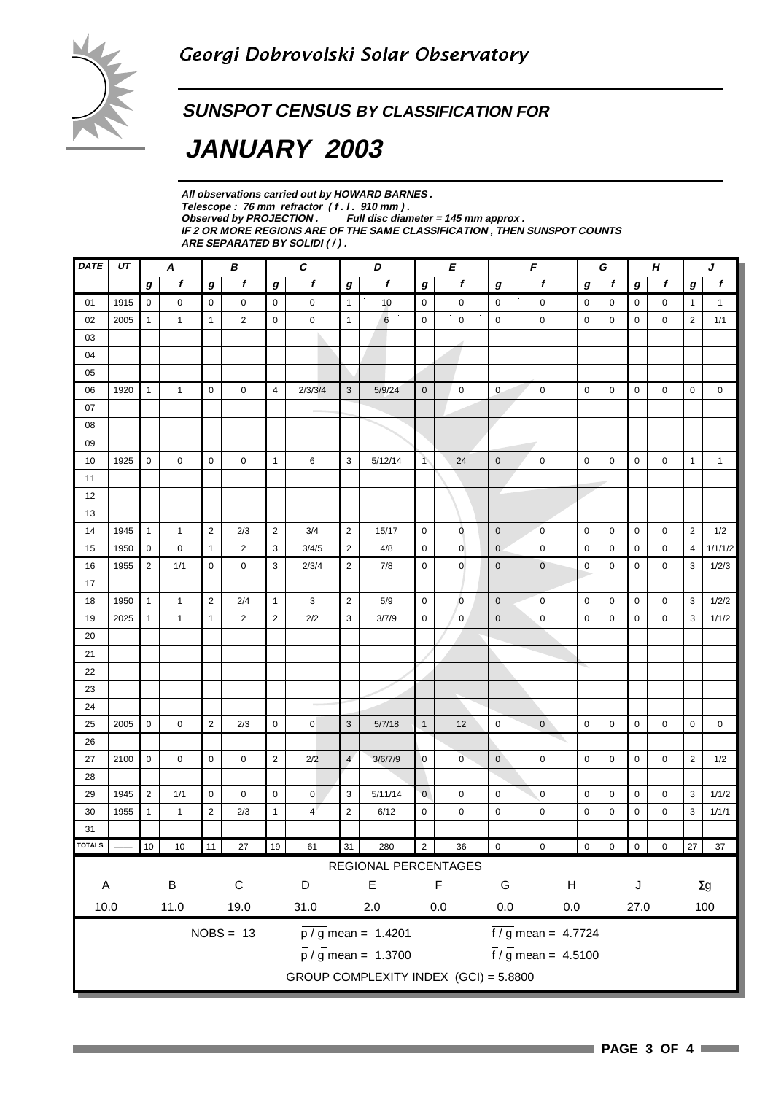### **SUNSPOT CENSUS BY CLASSIFICATION FOR**

## **JANUARY 2003**

**All observations carried out by HOWARD BARNES .** Telescope : 76 mm refractor (f. l. 910 mm).<br>Observed by PROJECTION . Full disc dian Full disc diameter = 145 mm approx . **IF 2 OR MORE REGIONS ARE OF THE SAME CLASSIFICATION , THEN SUNSPOT COUNTS ARE SEPARATED BY SOLIDI ( / ) .**

| f<br>$\boldsymbol{g}$<br>$\mathbf{1}$<br>$\mathbf{1}$<br>$\overline{2}$<br>1/1<br>$\pmb{0}$<br>0<br>$\mathbf{1}$<br>$\mathbf{1}$<br>2<br>1/2<br>1/1/1/2<br>4<br>3<br>1/2/3 |  |  |  |  |  |  |  |  |  |  |  |
|----------------------------------------------------------------------------------------------------------------------------------------------------------------------------|--|--|--|--|--|--|--|--|--|--|--|
|                                                                                                                                                                            |  |  |  |  |  |  |  |  |  |  |  |
|                                                                                                                                                                            |  |  |  |  |  |  |  |  |  |  |  |
|                                                                                                                                                                            |  |  |  |  |  |  |  |  |  |  |  |
|                                                                                                                                                                            |  |  |  |  |  |  |  |  |  |  |  |
|                                                                                                                                                                            |  |  |  |  |  |  |  |  |  |  |  |
|                                                                                                                                                                            |  |  |  |  |  |  |  |  |  |  |  |
|                                                                                                                                                                            |  |  |  |  |  |  |  |  |  |  |  |
|                                                                                                                                                                            |  |  |  |  |  |  |  |  |  |  |  |
|                                                                                                                                                                            |  |  |  |  |  |  |  |  |  |  |  |
|                                                                                                                                                                            |  |  |  |  |  |  |  |  |  |  |  |
|                                                                                                                                                                            |  |  |  |  |  |  |  |  |  |  |  |
|                                                                                                                                                                            |  |  |  |  |  |  |  |  |  |  |  |
|                                                                                                                                                                            |  |  |  |  |  |  |  |  |  |  |  |
|                                                                                                                                                                            |  |  |  |  |  |  |  |  |  |  |  |
|                                                                                                                                                                            |  |  |  |  |  |  |  |  |  |  |  |
|                                                                                                                                                                            |  |  |  |  |  |  |  |  |  |  |  |
|                                                                                                                                                                            |  |  |  |  |  |  |  |  |  |  |  |
|                                                                                                                                                                            |  |  |  |  |  |  |  |  |  |  |  |
| 3<br>1/2/2                                                                                                                                                                 |  |  |  |  |  |  |  |  |  |  |  |
| 3<br>1/1/2                                                                                                                                                                 |  |  |  |  |  |  |  |  |  |  |  |
|                                                                                                                                                                            |  |  |  |  |  |  |  |  |  |  |  |
|                                                                                                                                                                            |  |  |  |  |  |  |  |  |  |  |  |
|                                                                                                                                                                            |  |  |  |  |  |  |  |  |  |  |  |
|                                                                                                                                                                            |  |  |  |  |  |  |  |  |  |  |  |
|                                                                                                                                                                            |  |  |  |  |  |  |  |  |  |  |  |
| 0<br>0                                                                                                                                                                     |  |  |  |  |  |  |  |  |  |  |  |
|                                                                                                                                                                            |  |  |  |  |  |  |  |  |  |  |  |
| $\overline{2}$<br>1/2                                                                                                                                                      |  |  |  |  |  |  |  |  |  |  |  |
|                                                                                                                                                                            |  |  |  |  |  |  |  |  |  |  |  |
| 3<br>1/1/2                                                                                                                                                                 |  |  |  |  |  |  |  |  |  |  |  |
| 3<br>1/1/1                                                                                                                                                                 |  |  |  |  |  |  |  |  |  |  |  |
|                                                                                                                                                                            |  |  |  |  |  |  |  |  |  |  |  |
| 27<br>37                                                                                                                                                                   |  |  |  |  |  |  |  |  |  |  |  |
|                                                                                                                                                                            |  |  |  |  |  |  |  |  |  |  |  |
| $\Sigma g$                                                                                                                                                                 |  |  |  |  |  |  |  |  |  |  |  |
|                                                                                                                                                                            |  |  |  |  |  |  |  |  |  |  |  |
| 100                                                                                                                                                                        |  |  |  |  |  |  |  |  |  |  |  |
|                                                                                                                                                                            |  |  |  |  |  |  |  |  |  |  |  |
|                                                                                                                                                                            |  |  |  |  |  |  |  |  |  |  |  |
| $f / g$ mean = 4.5100<br>$\frac{1}{p}$ / g mean = 1.3700<br>GROUP COMPLEXITY INDEX (GCI) = 5.8800                                                                          |  |  |  |  |  |  |  |  |  |  |  |
|                                                                                                                                                                            |  |  |  |  |  |  |  |  |  |  |  |